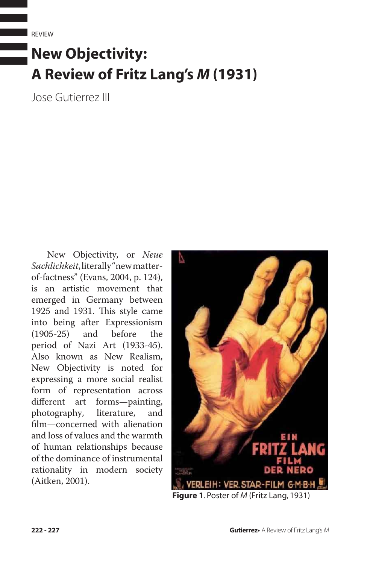REVIEW

## **New Objectivity: A Review of Fritz Lang's** *M* **(1931)**

Jose Gutierrez III

New Objectivity, or *Neue Sachlichkeit*, literally "new matterof-factness" (Evans, 2004, p. 124), is an artistic movement that emerged in Germany between 1925 and 1931. This style came into being after Expressionism<br>(1905-25) and before the (1905-25) and before the period of Nazi Art (1933-45). Also known as New Realism, New Objectivity is noted for expressing a more social realist form of representation across different art forms—painting, photography, literature, and film—concerned with alienation and loss of values and the warmth of human relationships because of the dominance of instrumental rationality in modern society (Aitken, 2001).



**Figure 1**. Poster of *M* (Fritz Lang, 1931)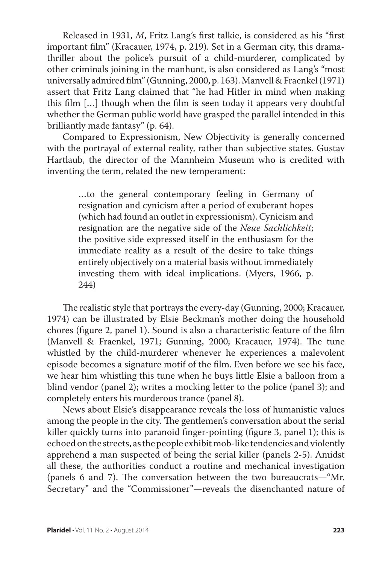Released in 1931, *M*, Fritz Lang's first talkie, is considered as his "first important film" (Kracauer, 1974, p. 219). Set in a German city, this dramathriller about the police's pursuit of a child-murderer, complicated by other criminals joining in the manhunt, is also considered as Lang's "most universally admired film" (Gunning, 2000, p. 163). Manvell & Fraenkel (1971) assert that Fritz Lang claimed that "he had Hitler in mind when making this film […] though when the film is seen today it appears very doubtful whether the German public world have grasped the parallel intended in this brilliantly made fantasy" (p. 64).

Compared to Expressionism, New Objectivity is generally concerned with the portrayal of external reality, rather than subjective states. Gustav Hartlaub, the director of the Mannheim Museum who is credited with inventing the term, related the new temperament:

> …to the general contemporary feeling in Germany of resignation and cynicism after a period of exuberant hopes (which had found an outlet in expressionism). Cynicism and resignation are the negative side of the *Neue Sachlichkeit*; the positive side expressed itself in the enthusiasm for the immediate reality as a result of the desire to take things entirely objectively on a material basis without immediately investing them with ideal implications. (Myers, 1966, p. 244)

The realistic style that portrays the every-day (Gunning, 2000; Kracauer, 1974) can be illustrated by Elsie Beckman's mother doing the household chores (figure 2, panel 1). Sound is also a characteristic feature of the film (Manvell & Fraenkel, 1971; Gunning, 2000; Kracauer, 1974). The tune whistled by the child-murderer whenever he experiences a malevolent episode becomes a signature motif of the film. Even before we see his face, we hear him whistling this tune when he buys little Elsie a balloon from a blind vendor (panel 2); writes a mocking letter to the police (panel 3); and completely enters his murderous trance (panel 8).

News about Elsie's disappearance reveals the loss of humanistic values among the people in the city. The gentlemen's conversation about the serial killer quickly turns into paranoid finger-pointing (figure 3, panel 1); this is echoed on the streets, as the people exhibit mob-like tendencies and violently apprehend a man suspected of being the serial killer (panels 2-5). Amidst all these, the authorities conduct a routine and mechanical investigation (panels 6 and 7). The conversation between the two bureaucrats—"Mr. Secretary" and the "Commissioner"—reveals the disenchanted nature of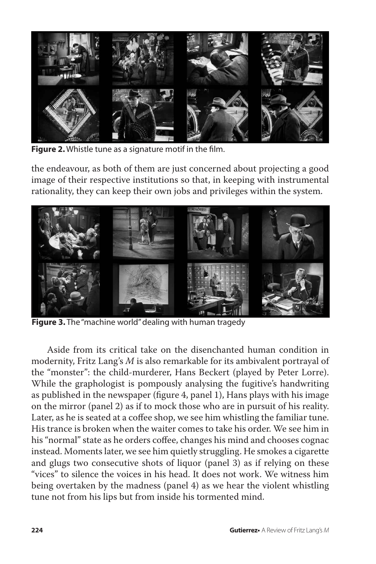

**Figure 2.** Whistle tune as a signature motif in the film.

the endeavour, as both of them are just concerned about projecting a good image of their respective institutions so that, in keeping with instrumental rationality, they can keep their own jobs and privileges within the system.



**Figure 3.** The "machine world" dealing with human tragedy

Aside from its critical take on the disenchanted human condition in modernity, Fritz Lang's *M* is also remarkable for its ambivalent portrayal of the "monster": the child-murderer, Hans Beckert (played by Peter Lorre). While the graphologist is pompously analysing the fugitive's handwriting as published in the newspaper (figure 4, panel 1), Hans plays with his image on the mirror (panel 2) as if to mock those who are in pursuit of his reality. Later, as he is seated at a coffee shop, we see him whistling the familiar tune. His trance is broken when the waiter comes to take his order. We see him in his "normal" state as he orders coffee, changes his mind and chooses cognac instead. Moments later, we see him quietly struggling. He smokes a cigarette and glugs two consecutive shots of liquor (panel 3) as if relying on these "vices" to silence the voices in his head. It does not work. We witness him being overtaken by the madness (panel 4) as we hear the violent whistling tune not from his lips but from inside his tormented mind.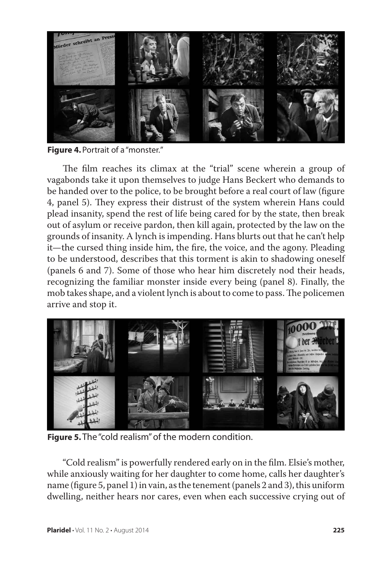

**Figure 4.** Portrait of a "monster."

The film reaches its climax at the "trial" scene wherein a group of vagabonds take it upon themselves to judge Hans Beckert who demands to be handed over to the police, to be brought before a real court of law (figure 4, panel 5). They express their distrust of the system wherein Hans could plead insanity, spend the rest of life being cared for by the state, then break out of asylum or receive pardon, then kill again, protected by the law on the grounds of insanity. A lynch is impending. Hans blurts out that he can't help it—the cursed thing inside him, the fire, the voice, and the agony. Pleading to be understood, describes that this torment is akin to shadowing oneself (panels 6 and 7). Some of those who hear him discretely nod their heads, recognizing the familiar monster inside every being (panel 8). Finally, the mob takes shape, and a violent lynch is about to come to pass. The policemen arrive and stop it.



**Figure 5.** The "cold realism" of the modern condition.

"Cold realism" is powerfully rendered early on in the film. Elsie's mother, while anxiously waiting for her daughter to come home, calls her daughter's name (figure 5, panel 1) in vain, as the tenement (panels 2 and 3), this uniform dwelling, neither hears nor cares, even when each successive crying out of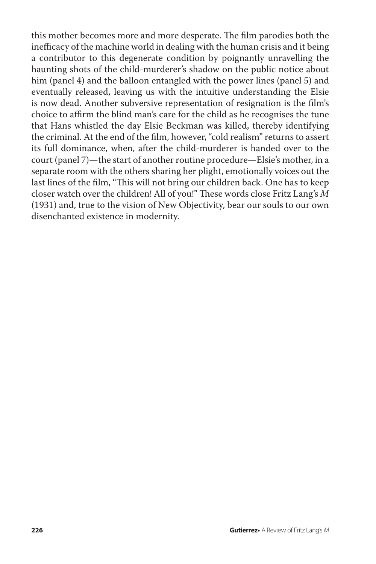this mother becomes more and more desperate. The film parodies both the inefficacy of the machine world in dealing with the human crisis and it being a contributor to this degenerate condition by poignantly unravelling the haunting shots of the child-murderer's shadow on the public notice about him (panel 4) and the balloon entangled with the power lines (panel 5) and eventually released, leaving us with the intuitive understanding the Elsie is now dead. Another subversive representation of resignation is the film's choice to affirm the blind man's care for the child as he recognises the tune that Hans whistled the day Elsie Beckman was killed, thereby identifying the criminal. At the end of the film, however, "cold realism" returns to assert its full dominance, when, after the child-murderer is handed over to the court (panel 7)—the start of another routine procedure—Elsie's mother, in a separate room with the others sharing her plight, emotionally voices out the last lines of the film, "This will not bring our children back. One has to keep closer watch over the children! All of you!" These words close Fritz Lang's *M* (1931) and, true to the vision of New Objectivity, bear our souls to our own disenchanted existence in modernity.